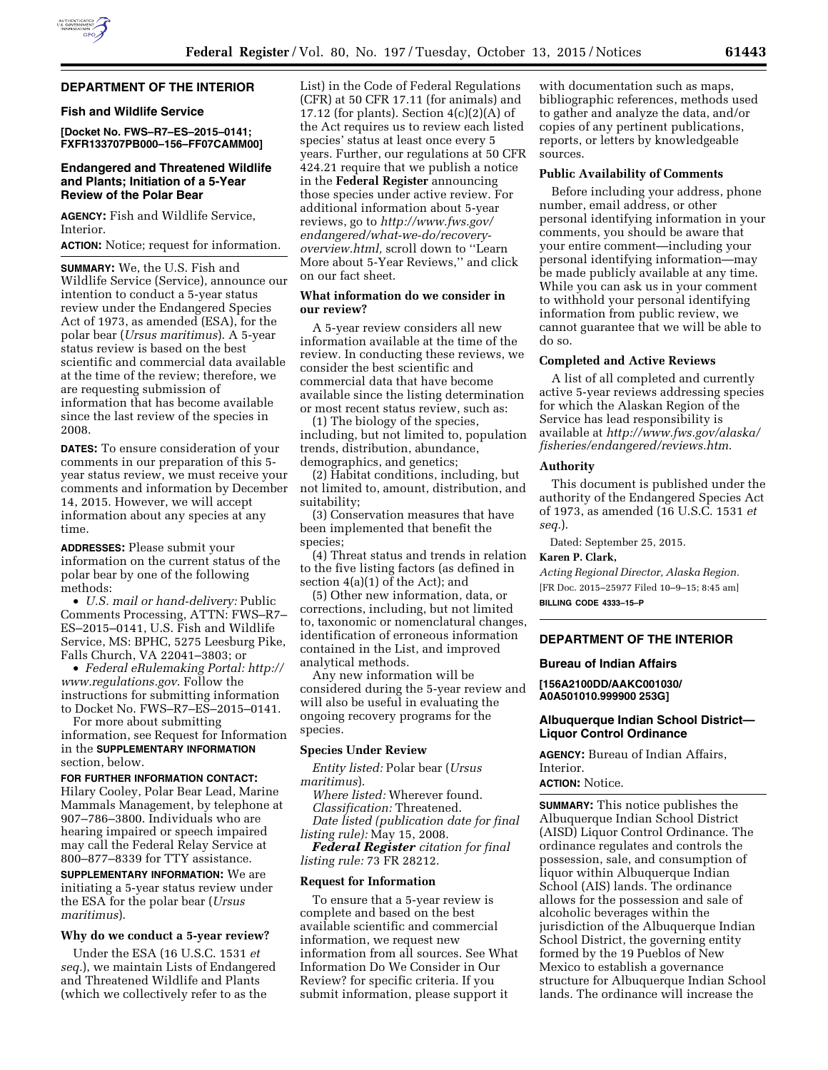### **DEPARTMENT OF THE INTERIOR**

#### **Fish and Wildlife Service**

**[Docket No. FWS–R7–ES–2015–0141; FXFR133707PB000–156–FF07CAMM00]** 

### **Endangered and Threatened Wildlife and Plants; Initiation of a 5-Year Review of the Polar Bear**

**AGENCY:** Fish and Wildlife Service, Interior.

**ACTION:** Notice; request for information.

**SUMMARY:** We, the U.S. Fish and Wildlife Service (Service), announce our intention to conduct a 5-year status review under the Endangered Species Act of 1973, as amended (ESA), for the polar bear (*Ursus maritimus*). A 5-year status review is based on the best scientific and commercial data available at the time of the review; therefore, we are requesting submission of information that has become available since the last review of the species in 2008.

**DATES:** To ensure consideration of your comments in our preparation of this 5 year status review, we must receive your comments and information by December 14, 2015. However, we will accept information about any species at any time.

**ADDRESSES:** Please submit your information on the current status of the polar bear by one of the following methods:

• *U.S. mail or hand-delivery:* Public Comments Processing, ATTN: FWS–R7– ES–2015–0141, U.S. Fish and Wildlife Service, MS: BPHC, 5275 Leesburg Pike, Falls Church, VA 22041–3803; or

• *Federal eRulemaking Portal: [http://](http://www.regulations.gov)  [www.regulations.gov](http://www.regulations.gov)*. Follow the instructions for submitting information to Docket No. FWS–R7–ES–2015–0141.

For more about submitting information, see Request for Information in the **SUPPLEMENTARY INFORMATION** section, below.

**FOR FURTHER INFORMATION CONTACT:** 

Hilary Cooley, Polar Bear Lead, Marine Mammals Management, by telephone at 907–786–3800. Individuals who are hearing impaired or speech impaired may call the Federal Relay Service at 800–877–8339 for TTY assistance.

**SUPPLEMENTARY INFORMATION:** We are initiating a 5-year status review under the ESA for the polar bear (*Ursus maritimus*).

### **Why do we conduct a 5-year review?**

Under the ESA (16 U.S.C. 1531 *et seq.*), we maintain Lists of Endangered and Threatened Wildlife and Plants (which we collectively refer to as the

List) in the Code of Federal Regulations (CFR) at 50 CFR 17.11 (for animals) and 17.12 (for plants). Section  $4(c)(2)(A)$  of the Act requires us to review each listed species' status at least once every 5 years. Further, our regulations at 50 CFR 424.21 require that we publish a notice in the **Federal Register** announcing those species under active review. For additional information about 5-year reviews, go to *[http://www.fws.gov/](http://www.fws.gov/endangered/what-we-do/recovery-overview.html) [endangered/what-we-do/recovery](http://www.fws.gov/endangered/what-we-do/recovery-overview.html)[overview.html,](http://www.fws.gov/endangered/what-we-do/recovery-overview.html)* scroll down to ''Learn More about 5-Year Reviews,'' and click on our fact sheet.

### **What information do we consider in our review?**

A 5-year review considers all new information available at the time of the review. In conducting these reviews, we consider the best scientific and commercial data that have become available since the listing determination or most recent status review, such as:

(1) The biology of the species, including, but not limited to, population trends, distribution, abundance, demographics, and genetics;

(2) Habitat conditions, including, but not limited to, amount, distribution, and suitability;

(3) Conservation measures that have been implemented that benefit the species;

(4) Threat status and trends in relation to the five listing factors (as defined in section 4(a)(1) of the Act); and

(5) Other new information, data, or corrections, including, but not limited to, taxonomic or nomenclatural changes, identification of erroneous information contained in the List, and improved analytical methods.

Any new information will be considered during the 5-year review and will also be useful in evaluating the ongoing recovery programs for the species.

#### **Species Under Review**

*Entity listed:* Polar bear (*Ursus maritimus*).

*Where listed:* Wherever found. *Classification:* Threatened. *Date listed (publication date for final listing rule):* May 15, 2008.

*Federal Register citation for final listing rule:* 73 FR 28212.

#### **Request for Information**

To ensure that a 5-year review is complete and based on the best available scientific and commercial information, we request new information from all sources. See What Information Do We Consider in Our Review? for specific criteria. If you submit information, please support it

with documentation such as maps, bibliographic references, methods used to gather and analyze the data, and/or copies of any pertinent publications, reports, or letters by knowledgeable sources.

#### **Public Availability of Comments**

Before including your address, phone number, email address, or other personal identifying information in your comments, you should be aware that your entire comment—including your personal identifying information—may be made publicly available at any time. While you can ask us in your comment to withhold your personal identifying information from public review, we cannot guarantee that we will be able to do so.

### **Completed and Active Reviews**

A list of all completed and currently active 5-year reviews addressing species for which the Alaskan Region of the Service has lead responsibility is available at *[http://www.fws.gov/alaska/](http://www.fws.gov/alaska/fisheries/endangered/reviews.htm) [fisheries/endangered/reviews.htm](http://www.fws.gov/alaska/fisheries/endangered/reviews.htm)*.

### **Authority**

This document is published under the authority of the Endangered Species Act of 1973, as amended (16 U.S.C. 1531 *et seq.*).

Dated: September 25, 2015.

### **Karen P. Clark,**

*Acting Regional Director, Alaska Region.*  [FR Doc. 2015–25977 Filed 10–9–15; 8:45 am] **BILLING CODE 4333–15–P** 

### **DEPARTMENT OF THE INTERIOR**

#### **Bureau of Indian Affairs**

**[156A2100DD/AAKC001030/ A0A501010.999900 253G]** 

### **Albuquerque Indian School District— Liquor Control Ordinance**

**AGENCY:** Bureau of Indian Affairs, Interior.

# **ACTION:** Notice.

**SUMMARY:** This notice publishes the Albuquerque Indian School District (AISD) Liquor Control Ordinance. The ordinance regulates and controls the possession, sale, and consumption of liquor within Albuquerque Indian School (AIS) lands. The ordinance allows for the possession and sale of alcoholic beverages within the jurisdiction of the Albuquerque Indian School District, the governing entity formed by the 19 Pueblos of New Mexico to establish a governance structure for Albuquerque Indian School lands. The ordinance will increase the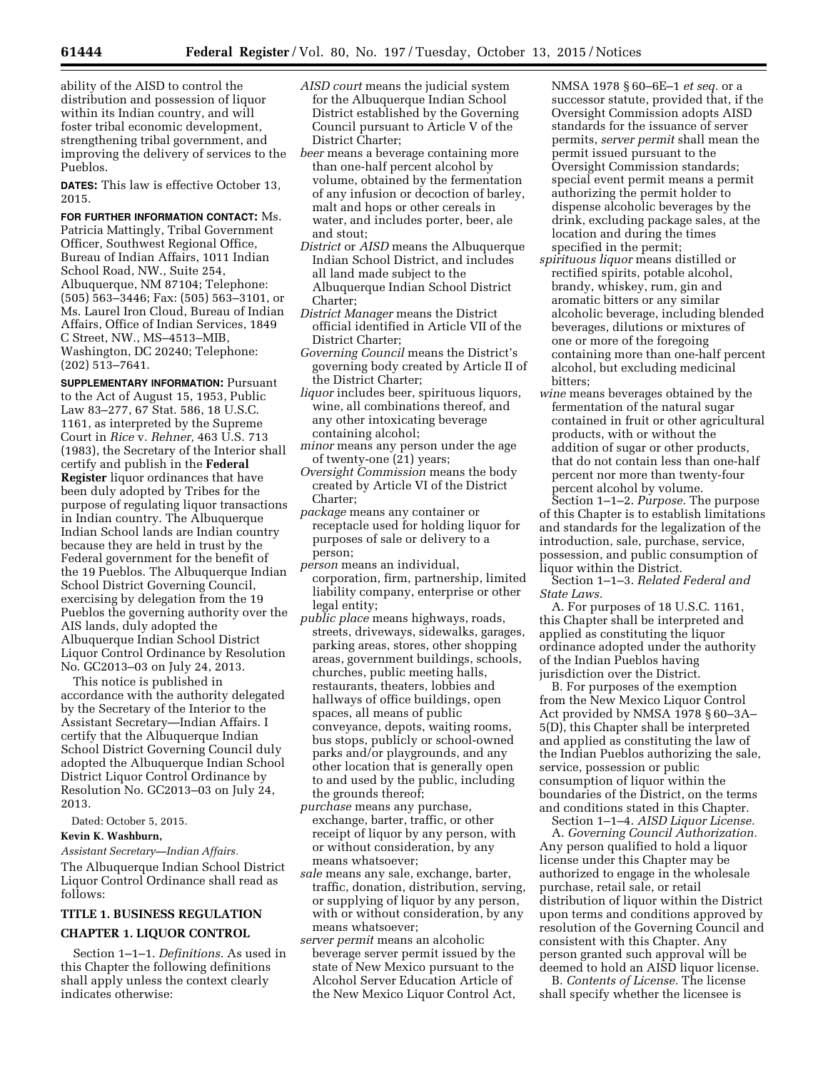ability of the AISD to control the distribution and possession of liquor within its Indian country, and will foster tribal economic development, strengthening tribal government, and improving the delivery of services to the Pueblos.

**DATES:** This law is effective October 13, 2015.

**FOR FURTHER INFORMATION CONTACT:** Ms. Patricia Mattingly, Tribal Government Officer, Southwest Regional Office, Bureau of Indian Affairs, 1011 Indian School Road, NW., Suite 254, Albuquerque, NM 87104; Telephone: (505) 563–3446; Fax: (505) 563–3101, or Ms. Laurel Iron Cloud, Bureau of Indian Affairs, Office of Indian Services, 1849 C Street, NW., MS–4513–MIB, Washington, DC 20240; Telephone: (202) 513–7641.

**SUPPLEMENTARY INFORMATION: Pursuant** to the Act of August 15, 1953, Public Law 83–277, 67 Stat. 586, 18 U.S.C. 1161, as interpreted by the Supreme Court in *Rice* v. *Rehner,* 463 U.S. 713 (1983), the Secretary of the Interior shall certify and publish in the **Federal Register** liquor ordinances that have been duly adopted by Tribes for the purpose of regulating liquor transactions in Indian country. The Albuquerque Indian School lands are Indian country because they are held in trust by the Federal government for the benefit of the 19 Pueblos. The Albuquerque Indian School District Governing Council, exercising by delegation from the 19 Pueblos the governing authority over the AIS lands, duly adopted the Albuquerque Indian School District Liquor Control Ordinance by Resolution No. GC2013–03 on July 24, 2013.

This notice is published in accordance with the authority delegated by the Secretary of the Interior to the Assistant Secretary—Indian Affairs. I certify that the Albuquerque Indian School District Governing Council duly adopted the Albuquerque Indian School District Liquor Control Ordinance by Resolution No. GC2013–03 on July 24, 2013.

Dated: October 5, 2015.

#### **Kevin K. Washburn,**

*Assistant Secretary—Indian Affairs.* 

The Albuquerque Indian School District Liquor Control Ordinance shall read as follows:

# **TITLE 1. BUSINESS REGULATION CHAPTER 1. LIQUOR CONTROL**

Section 1–1–1. *Definitions.* As used in this Chapter the following definitions shall apply unless the context clearly indicates otherwise:

- *AISD court* means the judicial system for the Albuquerque Indian School District established by the Governing Council pursuant to Article V of the District Charter;
- *beer* means a beverage containing more than one-half percent alcohol by volume, obtained by the fermentation of any infusion or decoction of barley, malt and hops or other cereals in water, and includes porter, beer, ale and stout;
- *District* or *AISD* means the Albuquerque Indian School District, and includes all land made subject to the Albuquerque Indian School District Charter;
- *District Manager* means the District official identified in Article VII of the District Charter;
- *Governing Council* means the District's governing body created by Article II of the District Charter;
- *liquor* includes beer, spirituous liquors, wine, all combinations thereof, and any other intoxicating beverage containing alcohol;
- *minor* means any person under the age of twenty-one (21) years;
- *Oversight Commission* means the body created by Article VI of the District Charter;
- *package* means any container or receptacle used for holding liquor for purposes of sale or delivery to a person;
- *person* means an individual, corporation, firm, partnership, limited liability company, enterprise or other legal entity;
- *public place* means highways, roads, streets, driveways, sidewalks, garages, parking areas, stores, other shopping areas, government buildings, schools, churches, public meeting halls, restaurants, theaters, lobbies and hallways of office buildings, open spaces, all means of public conveyance, depots, waiting rooms, bus stops, publicly or school-owned parks and/or playgrounds, and any other location that is generally open to and used by the public, including the grounds thereof;
- *purchase* means any purchase, exchange, barter, traffic, or other receipt of liquor by any person, with or without consideration, by any means whatsoever:
- *sale* means any sale, exchange, barter, traffic, donation, distribution, serving, or supplying of liquor by any person, with or without consideration, by any means whatsoever;
- *server permit* means an alcoholic beverage server permit issued by the state of New Mexico pursuant to the Alcohol Server Education Article of the New Mexico Liquor Control Act,

NMSA 1978 § 60–6E–1 *et seq.* or a successor statute, provided that, if the Oversight Commission adopts AISD standards for the issuance of server permits, *server permit* shall mean the permit issued pursuant to the Oversight Commission standards; special event permit means a permit authorizing the permit holder to dispense alcoholic beverages by the drink, excluding package sales, at the location and during the times specified in the permit;

- *spirituous liquor* means distilled or rectified spirits, potable alcohol, brandy, whiskey, rum, gin and aromatic bitters or any similar alcoholic beverage, including blended beverages, dilutions or mixtures of one or more of the foregoing containing more than one-half percent alcohol, but excluding medicinal bitters;
- *wine* means beverages obtained by the fermentation of the natural sugar contained in fruit or other agricultural products, with or without the addition of sugar or other products, that do not contain less than one-half percent nor more than twenty-four percent alcohol by volume.

Section 1–1–2. *Purpose.* The purpose of this Chapter is to establish limitations and standards for the legalization of the introduction, sale, purchase, service, possession, and public consumption of liquor within the District.

Section 1–1–3. *Related Federal and State Laws.* 

A. For purposes of 18 U.S.C. 1161, this Chapter shall be interpreted and applied as constituting the liquor ordinance adopted under the authority of the Indian Pueblos having jurisdiction over the District.

B. For purposes of the exemption from the New Mexico Liquor Control Act provided by NMSA 1978 § 60–3A– 5(D), this Chapter shall be interpreted and applied as constituting the law of the Indian Pueblos authorizing the sale, service, possession or public consumption of liquor within the boundaries of the District, on the terms and conditions stated in this Chapter.

Section 1–1–4. *AISD Liquor License.*  A. *Governing Council Authorization.*  Any person qualified to hold a liquor license under this Chapter may be authorized to engage in the wholesale purchase, retail sale, or retail distribution of liquor within the District upon terms and conditions approved by resolution of the Governing Council and consistent with this Chapter. Any person granted such approval will be deemed to hold an AISD liquor license.

B. *Contents of License.* The license shall specify whether the licensee is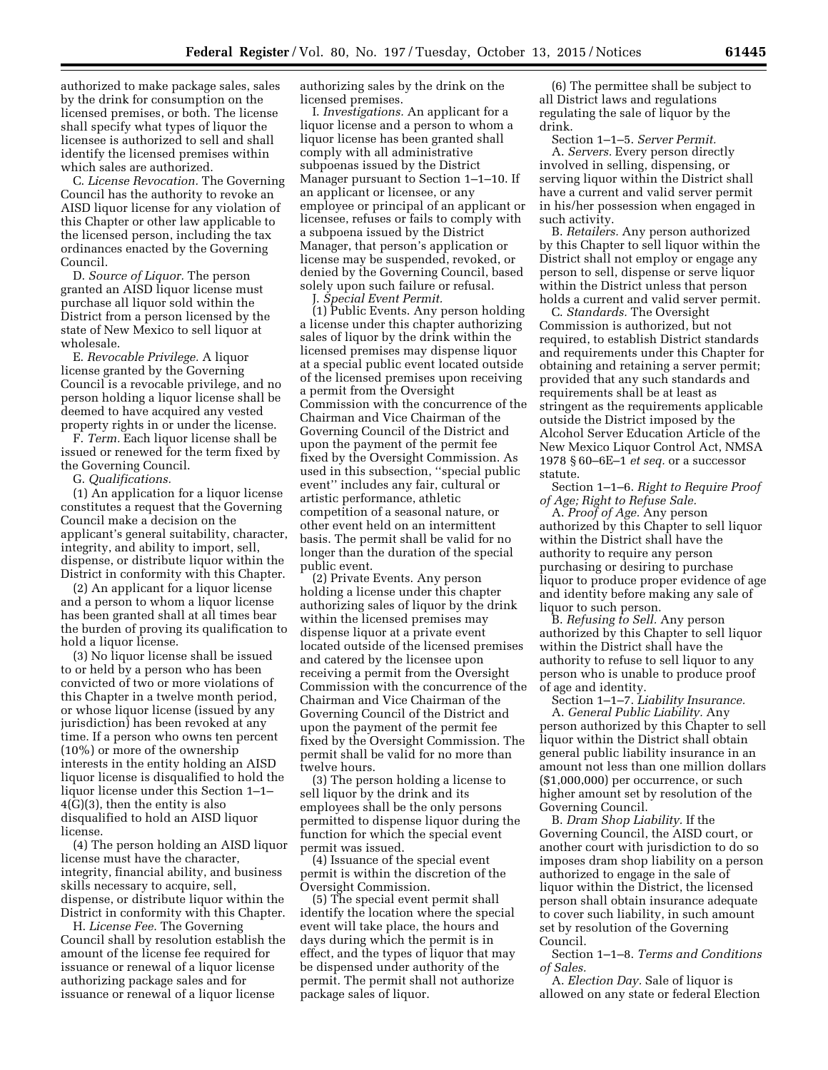authorized to make package sales, sales by the drink for consumption on the licensed premises, or both. The license shall specify what types of liquor the licensee is authorized to sell and shall identify the licensed premises within which sales are authorized.

C. *License Revocation.* The Governing Council has the authority to revoke an AISD liquor license for any violation of this Chapter or other law applicable to the licensed person, including the tax ordinances enacted by the Governing Council.

D. *Source of Liquor.* The person granted an AISD liquor license must purchase all liquor sold within the District from a person licensed by the state of New Mexico to sell liquor at wholesale.

E. *Revocable Privilege.* A liquor license granted by the Governing Council is a revocable privilege, and no person holding a liquor license shall be deemed to have acquired any vested property rights in or under the license.

F. *Term.* Each liquor license shall be issued or renewed for the term fixed by the Governing Council.

G. *Qualifications.* 

(1) An application for a liquor license constitutes a request that the Governing Council make a decision on the applicant's general suitability, character, integrity, and ability to import, sell, dispense, or distribute liquor within the District in conformity with this Chapter.

(2) An applicant for a liquor license and a person to whom a liquor license has been granted shall at all times bear the burden of proving its qualification to hold a liquor license.

(3) No liquor license shall be issued to or held by a person who has been convicted of two or more violations of this Chapter in a twelve month period, or whose liquor license (issued by any jurisdiction) has been revoked at any time. If a person who owns ten percent (10%) or more of the ownership interests in the entity holding an AISD liquor license is disqualified to hold the liquor license under this Section 1–1– 4(G)(3), then the entity is also disqualified to hold an AISD liquor license.

(4) The person holding an AISD liquor license must have the character, integrity, financial ability, and business skills necessary to acquire, sell, dispense, or distribute liquor within the District in conformity with this Chapter.

H. *License Fee.* The Governing Council shall by resolution establish the amount of the license fee required for issuance or renewal of a liquor license authorizing package sales and for issuance or renewal of a liquor license

authorizing sales by the drink on the licensed premises.

I. *Investigations.* An applicant for a liquor license and a person to whom a liquor license has been granted shall comply with all administrative subpoenas issued by the District Manager pursuant to Section 1–1–10. If an applicant or licensee, or any employee or principal of an applicant or licensee, refuses or fails to comply with a subpoena issued by the District Manager, that person's application or license may be suspended, revoked, or denied by the Governing Council, based solely upon such failure or refusal.

J. *Special Event Permit.* 

(1) Public Events. Any person holding a license under this chapter authorizing sales of liquor by the drink within the licensed premises may dispense liquor at a special public event located outside of the licensed premises upon receiving a permit from the Oversight Commission with the concurrence of the Chairman and Vice Chairman of the Governing Council of the District and upon the payment of the permit fee fixed by the Oversight Commission. As used in this subsection, ''special public event'' includes any fair, cultural or artistic performance, athletic competition of a seasonal nature, or other event held on an intermittent basis. The permit shall be valid for no longer than the duration of the special public event.

(2) Private Events. Any person holding a license under this chapter authorizing sales of liquor by the drink within the licensed premises may dispense liquor at a private event located outside of the licensed premises and catered by the licensee upon receiving a permit from the Oversight Commission with the concurrence of the Chairman and Vice Chairman of the Governing Council of the District and upon the payment of the permit fee fixed by the Oversight Commission. The permit shall be valid for no more than twelve hours.

(3) The person holding a license to sell liquor by the drink and its employees shall be the only persons permitted to dispense liquor during the function for which the special event permit was issued.

(4) Issuance of the special event permit is within the discretion of the Oversight Commission.

(5) The special event permit shall identify the location where the special event will take place, the hours and days during which the permit is in effect, and the types of liquor that may be dispensed under authority of the permit. The permit shall not authorize package sales of liquor.

(6) The permittee shall be subject to all District laws and regulations regulating the sale of liquor by the drink.

Section 1–1–5. *Server Permit.*  A. *Servers.* Every person directly involved in selling, dispensing, or serving liquor within the District shall have a current and valid server permit in his/her possession when engaged in such activity.

B. *Retailers.* Any person authorized by this Chapter to sell liquor within the District shall not employ or engage any person to sell, dispense or serve liquor within the District unless that person holds a current and valid server permit.

C. *Standards.* The Oversight Commission is authorized, but not required, to establish District standards and requirements under this Chapter for obtaining and retaining a server permit; provided that any such standards and requirements shall be at least as stringent as the requirements applicable outside the District imposed by the Alcohol Server Education Article of the New Mexico Liquor Control Act, NMSA 1978 § 60–6E–1 *et seq.* or a successor statute.

Section 1–1–6. *Right to Require Proof of Age; Right to Refuse Sale.* 

A. *Proof of Age.* Any person authorized by this Chapter to sell liquor within the District shall have the authority to require any person purchasing or desiring to purchase liquor to produce proper evidence of age and identity before making any sale of liquor to such person.

B. *Refusing to Sell.* Any person authorized by this Chapter to sell liquor within the District shall have the authority to refuse to sell liquor to any person who is unable to produce proof of age and identity.

Section 1–1–7. *Liability Insurance.*  A. *General Public Liability.* Any person authorized by this Chapter to sell liquor within the District shall obtain general public liability insurance in an amount not less than one million dollars (\$1,000,000) per occurrence, or such higher amount set by resolution of the Governing Council.

B. *Dram Shop Liability.* If the Governing Council, the AISD court, or another court with jurisdiction to do so imposes dram shop liability on a person authorized to engage in the sale of liquor within the District, the licensed person shall obtain insurance adequate to cover such liability, in such amount set by resolution of the Governing Council.

Section 1–1–8. *Terms and Conditions of Sales.* 

A. *Election Day.* Sale of liquor is allowed on any state or federal Election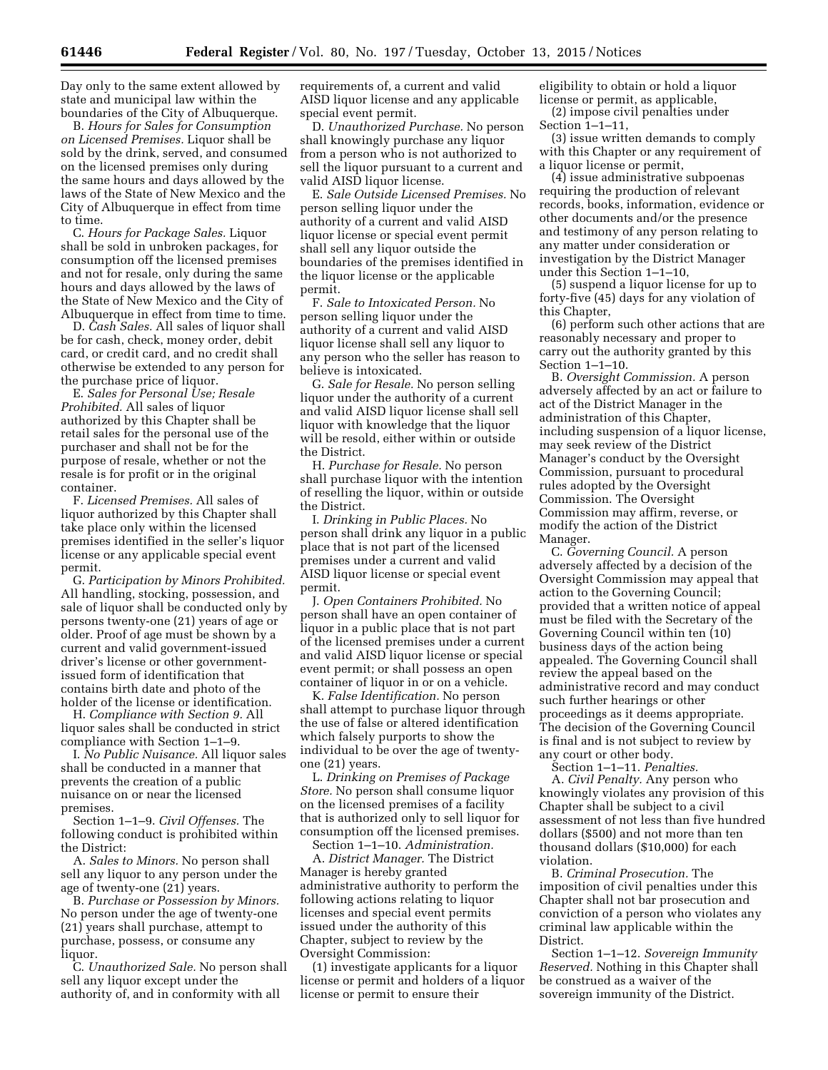Day only to the same extent allowed by state and municipal law within the boundaries of the City of Albuquerque.

B. *Hours for Sales for Consumption on Licensed Premises.* Liquor shall be sold by the drink, served, and consumed on the licensed premises only during the same hours and days allowed by the laws of the State of New Mexico and the City of Albuquerque in effect from time to time.

C. *Hours for Package Sales.* Liquor shall be sold in unbroken packages, for consumption off the licensed premises and not for resale, only during the same hours and days allowed by the laws of the State of New Mexico and the City of Albuquerque in effect from time to time.

D. *Cash Sales.* All sales of liquor shall be for cash, check, money order, debit card, or credit card, and no credit shall otherwise be extended to any person for the purchase price of liquor.

E. *Sales for Personal Use; Resale Prohibited.* All sales of liquor authorized by this Chapter shall be retail sales for the personal use of the purchaser and shall not be for the purpose of resale, whether or not the resale is for profit or in the original container.

F. *Licensed Premises.* All sales of liquor authorized by this Chapter shall take place only within the licensed premises identified in the seller's liquor license or any applicable special event permit.

G. *Participation by Minors Prohibited.*  All handling, stocking, possession, and sale of liquor shall be conducted only by persons twenty-one (21) years of age or older. Proof of age must be shown by a current and valid government-issued driver's license or other governmentissued form of identification that contains birth date and photo of the holder of the license or identification.

H. *Compliance with Section 9.* All liquor sales shall be conducted in strict compliance with Section 1–1–9.

I. *No Public Nuisance.* All liquor sales shall be conducted in a manner that prevents the creation of a public nuisance on or near the licensed premises.

Section 1–1–9. *Civil Offenses.* The following conduct is prohibited within the District:

A. *Sales to Minors.* No person shall sell any liquor to any person under the age of twenty-one (21) years.

B. *Purchase or Possession by Minors.*  No person under the age of twenty-one (21) years shall purchase, attempt to purchase, possess, or consume any liquor.

C. *Unauthorized Sale.* No person shall sell any liquor except under the authority of, and in conformity with all

requirements of, a current and valid AISD liquor license and any applicable special event permit.

D. *Unauthorized Purchase.* No person shall knowingly purchase any liquor from a person who is not authorized to sell the liquor pursuant to a current and valid AISD liquor license.

E. *Sale Outside Licensed Premises.* No person selling liquor under the authority of a current and valid AISD liquor license or special event permit shall sell any liquor outside the boundaries of the premises identified in the liquor license or the applicable permit.

F. *Sale to Intoxicated Person.* No person selling liquor under the authority of a current and valid AISD liquor license shall sell any liquor to any person who the seller has reason to believe is intoxicated.

G. *Sale for Resale.* No person selling liquor under the authority of a current and valid AISD liquor license shall sell liquor with knowledge that the liquor will be resold, either within or outside the District.

H. *Purchase for Resale.* No person shall purchase liquor with the intention of reselling the liquor, within or outside the District.

I. *Drinking in Public Places.* No person shall drink any liquor in a public place that is not part of the licensed premises under a current and valid AISD liquor license or special event permit.

J. *Open Containers Prohibited.* No person shall have an open container of liquor in a public place that is not part of the licensed premises under a current and valid AISD liquor license or special event permit; or shall possess an open container of liquor in or on a vehicle.

K. *False Identification.* No person shall attempt to purchase liquor through the use of false or altered identification which falsely purports to show the individual to be over the age of twentyone (21) years.

L. *Drinking on Premises of Package Store.* No person shall consume liquor on the licensed premises of a facility that is authorized only to sell liquor for consumption off the licensed premises.

Section 1–1–10. *Administration.*  A. *District Manager.* The District Manager is hereby granted administrative authority to perform the following actions relating to liquor licenses and special event permits issued under the authority of this Chapter, subject to review by the Oversight Commission:

(1) investigate applicants for a liquor license or permit and holders of a liquor license or permit to ensure their

eligibility to obtain or hold a liquor license or permit, as applicable, (2) impose civil penalties under

Section 1–1–11, (3) issue written demands to comply

with this Chapter or any requirement of a liquor license or permit,

(4) issue administrative subpoenas requiring the production of relevant records, books, information, evidence or other documents and/or the presence and testimony of any person relating to any matter under consideration or investigation by the District Manager under this Section 1–1–10,

(5) suspend a liquor license for up to forty-five (45) days for any violation of this Chapter,

(6) perform such other actions that are reasonably necessary and proper to carry out the authority granted by this Section 1–1–10.

B. *Oversight Commission.* A person adversely affected by an act or failure to act of the District Manager in the administration of this Chapter, including suspension of a liquor license, may seek review of the District Manager's conduct by the Oversight Commission, pursuant to procedural rules adopted by the Oversight Commission. The Oversight Commission may affirm, reverse, or modify the action of the District Manager.

C. *Governing Council.* A person adversely affected by a decision of the Oversight Commission may appeal that action to the Governing Council; provided that a written notice of appeal must be filed with the Secretary of the Governing Council within ten (10) business days of the action being appealed. The Governing Council shall review the appeal based on the administrative record and may conduct such further hearings or other proceedings as it deems appropriate. The decision of the Governing Council is final and is not subject to review by any court or other body.

Section 1–1–11. *Penalties.*  A. *Civil Penalty.* Any person who knowingly violates any provision of this Chapter shall be subject to a civil assessment of not less than five hundred dollars (\$500) and not more than ten thousand dollars (\$10,000) for each violation.

B. *Criminal Prosecution.* The imposition of civil penalties under this Chapter shall not bar prosecution and conviction of a person who violates any criminal law applicable within the District.

Section 1–1–12. *Sovereign Immunity Reserved.* Nothing in this Chapter shall be construed as a waiver of the sovereign immunity of the District.